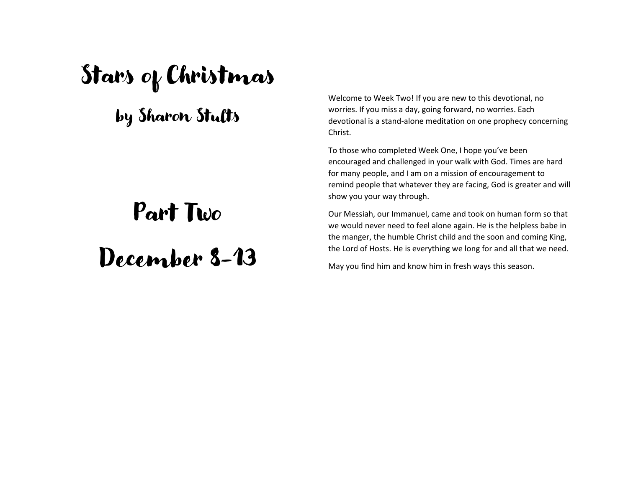## Stars of Christmas

### by Sharon Stults

## Part Two

# December 8-13

Welcome to Week Two! If you are new to this devotional, no worries. If you miss a day, going forward, no worries. Each devotional is a stand-alone meditation on one prophecy concerning Christ.

To those who completed Week One, I hope you've been encouraged and challenged in your walk with God. Times are hard for many people, and I am on a mission of encouragement to remind people that whatever they are facing, God is greater and will show you your way through.

Our Messiah, our Immanuel, came and took on human form so that we would never need to feel alone again. He is the helpless babe in the manger, the humble Christ child and the soon and coming King, the Lord of Hosts. He is everything we long for and all that we need.

May you find him and know him in fresh ways this season.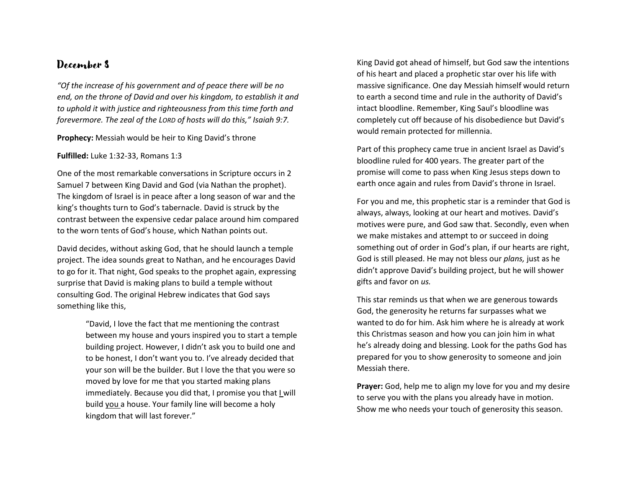*"Of the increase of his government and of peace there will be no end, on the throne of David and over his kingdom, to establish it and to uphold it with justice and righteousness from this time forth and forevermore. The zeal of the LORD of hosts will do this," Isaiah 9:7.*

**Prophecy:** Messiah would be heir to King David's throne

**Fulfilled:** Luke 1:32-33, Romans 1:3

One of the most remarkable conversations in Scripture occurs in 2 Samuel 7 between King David and God (via Nathan the prophet). The kingdom of Israel is in peace after a long season of war and the king's thoughts turn to God's tabernacle. David is struck by the contrast between the expensive cedar palace around him compared to the worn tents of God's house, which Nathan points out.

David decides, without asking God, that he should launch a temple project. The idea sounds great to Nathan, and he encourages David to go for it. That night, God speaks to the prophet again, expressing surprise that David is making plans to build a temple without consulting God. The original Hebrew indicates that God says something like this,

> "David, I love the fact that me mentioning the contrast between my house and yours inspired you to start a temple building project. However, I didn't ask you to build one and to be honest, I don't want you to. I've already decided that your son will be the builder. But I love the that you were so moved by love for me that you started making plans immediately. Because you did that, I promise you that I will build you a house. Your family line will become a holy kingdom that will last forever."

King David got ahead of himself, but God saw the intentions of his heart and placed a prophetic star over his life with massive significance. One day Messiah himself would return to earth a second time and rule in the authority of David's intact bloodline. Remember, King Saul's bloodline was completely cut off because of his disobedience but David's would remain protected for millennia.

Part of this prophecy came true in ancient Israel as David's bloodline ruled for 400 years. The greater part of the promise will come to pass when King Jesus steps down to earth once again and rules from David's throne in Israel.

For you and me, this prophetic star is a reminder that God is always, always, looking at our heart and motives. David's motives were pure, and God saw that. Secondly, even when we make mistakes and attempt to or succeed in doing something out of order in God's plan, if our hearts are right, God is still pleased. He may not bless our *plans,* just as he didn't approve David's building project, but he will shower gifts and favor on *us.* 

This star reminds us that when we are generous towards God, the generosity he returns far surpasses what we wanted to do for him. Ask him where he is already at work this Christmas season and how you can join him in what he's already doing and blessing. Look for the paths God has prepared for you to show generosity to someone and join Messiah there.

**Prayer:** God, help me to align my love for you and my desire to serve you with the plans you already have in motion. Show me who needs your touch of generosity this season.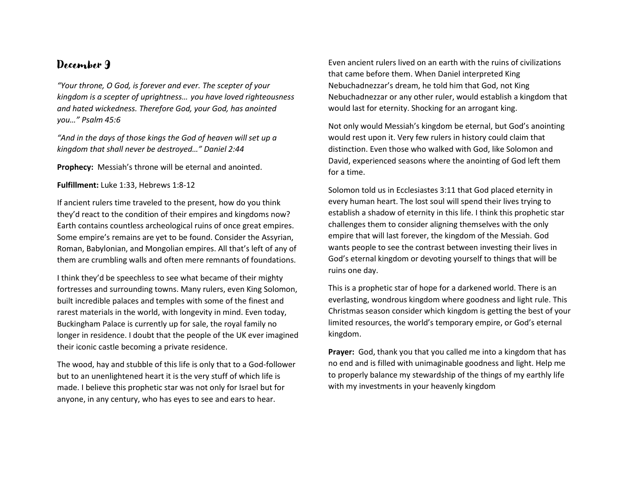*"Your throne, O God, is forever and ever. The scepter of your kingdom is a scepter of uprightness… you have loved righteousness and hated wickedness. Therefore God, your God, has anointed you…" Psalm 45:6*

*"And in the days of those kings the God of heaven will set up a kingdom that shall never be destroyed…" Daniel 2:44*

**Prophecy:** Messiah's throne will be eternal and anointed.

**Fulfillment:** Luke 1:33, Hebrews 1:8-12

If ancient rulers time traveled to the present, how do you think they'd react to the condition of their empires and kingdoms now? Earth contains countless archeological ruins of once great empires. Some empire's remains are yet to be found. Consider the Assyrian, Roman, Babylonian, and Mongolian empires. All that's left of any of them are crumbling walls and often mere remnants of foundations.

I think they'd be speechless to see what became of their mighty fortresses and surrounding towns. Many rulers, even King Solomon, built incredible palaces and temples with some of the finest and rarest materials in the world, with longevity in mind. Even today, Buckingham Palace is currently up for sale, the royal family no longer in residence. I doubt that the people of the UK ever imagined their iconic castle becoming a private residence.

The wood, hay and stubble of this life is only that to a God-follower but to an unenlightened heart it is the very stuff of which life is made. I believe this prophetic star was not only for Israel but for anyone, in any century, who has eyes to see and ears to hear.

Even ancient rulers lived on an earth with the ruins of civilizations that came before them. When Daniel interpreted King Nebuchadnezzar's dream, he told him that God, not King Nebuchadnezzar or any other ruler, would establish a kingdom that would last for eternity. Shocking for an arrogant king.

Not only would Messiah's kingdom be eternal, but God's anointing would rest upon it. Very few rulers in history could claim that distinction. Even those who walked with God, like Solomon and David, experienced seasons where the anointing of God left them for a time.

Solomon told us in Ecclesiastes 3:11 that God placed eternity in every human heart. The lost soul will spend their lives trying to establish a shadow of eternity in this life. I think this prophetic star challenges them to consider aligning themselves with the only empire that will last forever, the kingdom of the Messiah. God wants people to see the contrast between investing their lives in God's eternal kingdom or devoting yourself to things that will be ruins one day.

This is a prophetic star of hope for a darkened world. There is an everlasting, wondrous kingdom where goodness and light rule. This Christmas season consider which kingdom is getting the best of your limited resources, the world's temporary empire, or God's eternal kingdom.

**Prayer:** God, thank you that you called me into a kingdom that has no end and is filled with unimaginable goodness and light. Help me to properly balance my stewardship of the things of my earthly life with my investments in your heavenly kingdom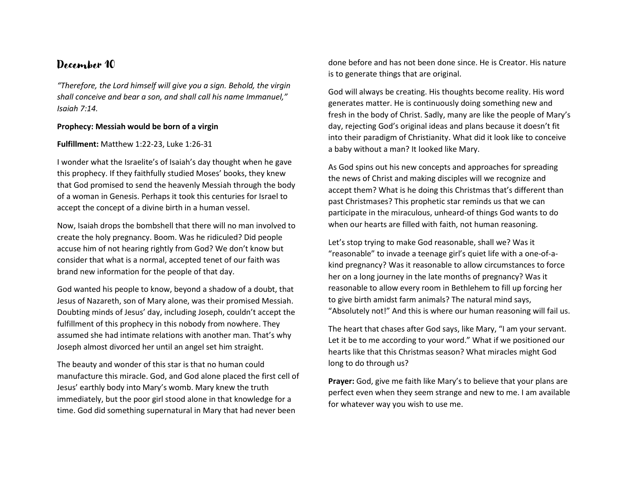*"Therefore, the Lord himself will give you a sign. Behold, the virgin shall conceive and bear a son, and shall call his name Immanuel," Isaiah 7:14.*

#### **Prophecy: Messiah would be born of a virgin**

#### **Fulfillment:** Matthew 1:22-23, Luke 1:26-31

I wonder what the Israelite's of Isaiah's day thought when he gave this prophecy. If they faithfully studied Moses' books, they knew that God promised to send the heavenly Messiah through the body of a woman in Genesis. Perhaps it took this centuries for Israel to accept the concept of a divine birth in a human vessel.

Now, Isaiah drops the bombshell that there will no man involved to create the holy pregnancy. Boom. Was he ridiculed? Did people accuse him of not hearing rightly from God? We don't know but consider that what is a normal, accepted tenet of our faith was brand new information for the people of that day.

God wanted his people to know, beyond a shadow of a doubt, that Jesus of Nazareth, son of Mary alone, was their promised Messiah. Doubting minds of Jesus' day, including Joseph, couldn't accept the fulfillment of this prophecy in this nobody from nowhere. They assumed she had intimate relations with another man. That's why Joseph almost divorced her until an angel set him straight.

The beauty and wonder of this star is that no human could manufacture this miracle. God, and God alone placed the first cell of Jesus' earthly body into Mary's womb. Mary knew the truth immediately, but the poor girl stood alone in that knowledge for a time. God did something supernatural in Mary that had never been

done before and has not been done since. He is Creator. His nature is to generate things that are original.

God will always be creating. His thoughts become reality. His word generates matter. He is continuously doing something new and fresh in the body of Christ. Sadly, many are like the people of Mary's day, rejecting God's original ideas and plans because it doesn't fit into their paradigm of Christianity. What did it look like to conceive a baby without a man? It looked like Mary.

As God spins out his new concepts and approaches for spreading the news of Christ and making disciples will we recognize and accept them? What is he doing this Christmas that's different than past Christmases? This prophetic star reminds us that we can participate in the miraculous, unheard-of things God wants to do when our hearts are filled with faith, not human reasoning.

Let's stop trying to make God reasonable, shall we? Was it "reasonable" to invade a teenage girl's quiet life with a one-of-akind pregnancy? Was it reasonable to allow circumstances to force her on a long journey in the late months of pregnancy? Was it reasonable to allow every room in Bethlehem to fill up forcing her to give birth amidst farm animals? The natural mind says, "Absolutely not!" And this is where our human reasoning will fail us.

The heart that chases after God says, like Mary, "I am your servant. Let it be to me according to your word." What if we positioned our hearts like that this Christmas season? What miracles might God long to do through us?

**Prayer:** God, give me faith like Mary's to believe that your plans are perfect even when they seem strange and new to me. I am available for whatever way you wish to use me.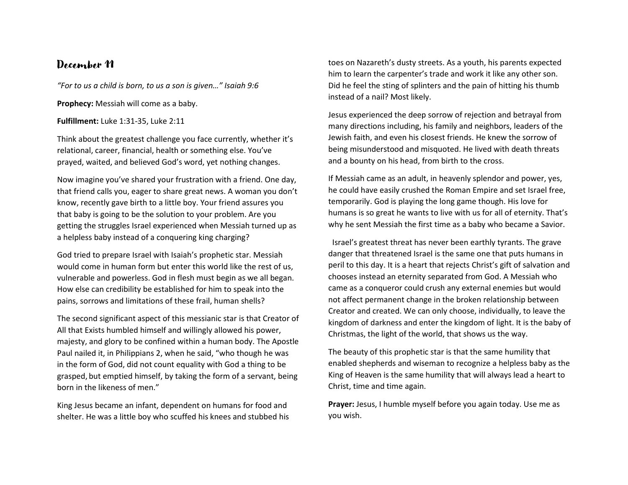*"For to us a child is born, to us a son is given…" Isaiah 9:6*

**Prophecy:** Messiah will come as a baby.

**Fulfillment:** Luke 1:31-35, Luke 2:11

Think about the greatest challenge you face currently, whether it's relational, career, financial, health or something else. You've prayed, waited, and believed God's word, yet nothing changes.

Now imagine you've shared your frustration with a friend. One day, that friend calls you, eager to share great news. A woman you don't know, recently gave birth to a little boy. Your friend assures you that baby is going to be the solution to your problem. Are you getting the struggles Israel experienced when Messiah turned up as a helpless baby instead of a conquering king charging?

God tried to prepare Israel with Isaiah's prophetic star. Messiah would come in human form but enter this world like the rest of us, vulnerable and powerless. God in flesh must begin as we all began. How else can credibility be established for him to speak into the pains, sorrows and limitations of these frail, human shells?

The second significant aspect of this messianic star is that Creator of All that Exists humbled himself and willingly allowed his power, majesty, and glory to be confined within a human body. The Apostle Paul nailed it, in Philippians 2, when he said, "who though he was in the form of God, did not count equality with God a thing to be grasped, but emptied himself, by taking the form of a servant, being born in the likeness of men."

King Jesus became an infant, dependent on humans for food and shelter. He was a little boy who scuffed his knees and stubbed his toes on Nazareth's dusty streets. As a youth, his parents expected him to learn the carpenter's trade and work it like any other son. Did he feel the sting of splinters and the pain of hitting his thumb instead of a nail? Most likely.

Jesus experienced the deep sorrow of rejection and betrayal from many directions including, his family and neighbors, leaders of the Jewish faith, and even his closest friends. He knew the sorrow of being misunderstood and misquoted. He lived with death threats and a bounty on his head, from birth to the cross.

If Messiah came as an adult, in heavenly splendor and power, yes, he could have easily crushed the Roman Empire and set Israel free, temporarily. God is playing the long game though. His love for humans is so great he wants to live with us for all of eternity. That's why he sent Messiah the first time as a baby who became a Savior.

Israel's greatest threat has never been earthly tyrants. The grave danger that threatened Israel is the same one that puts humans in peril to this day. It is a heart that rejects Christ's gift of salvation and chooses instead an eternity separated from God. A Messiah who came as a conqueror could crush any external enemies but would not affect permanent change in the broken relationship between Creator and created. We can only choose, individually, to leave the kingdom of darkness and enter the kingdom of light. It is the baby of Christmas, the light of the world, that shows us the way.

The beauty of this prophetic star is that the same humility that enabled shepherds and wiseman to recognize a helpless baby as the King of Heaven is the same humility that will always lead a heart to Christ, time and time again.

**Prayer:** Jesus, I humble myself before you again today. Use me as you wish.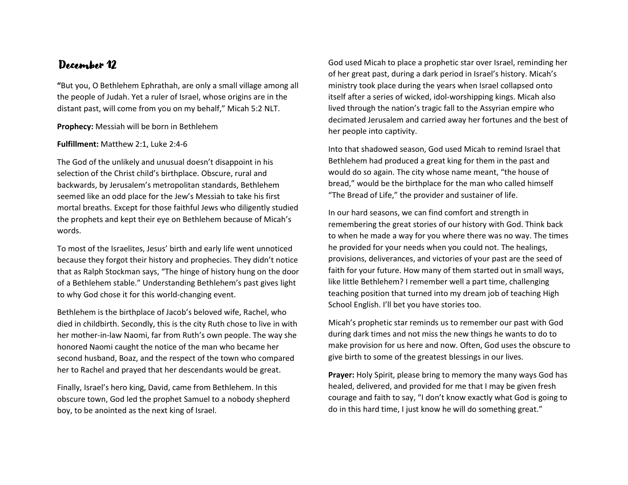**"**But you, O Bethlehem Ephrathah, are only a small village among all the people of Judah. Yet a ruler of Israel, whose origins are in the distant past, will come from you on my behalf," Micah 5:2 NLT.

#### **Prophecy:** Messiah will be born in Bethlehem

#### **Fulfillment:** Matthew 2:1, Luke 2:4-6

The God of the unlikely and unusual doesn't disappoint in his selection of the Christ child's birthplace. Obscure, rural and backwards, by Jerusalem's metropolitan standards, Bethlehem seemed like an odd place for the Jew's Messiah to take his first mortal breaths. Except for those faithful Jews who diligently studied the prophets and kept their eye on Bethlehem because of Micah's words.

To most of the Israelites, Jesus' birth and early life went unnoticed because they forgot their history and prophecies. They didn't notice that as Ralph Stockman says, "The hinge of history hung on the door of a Bethlehem stable." Understanding Bethlehem's past gives light to why God chose it for this world-changing event.

Bethlehem is the birthplace of Jacob's beloved wife, Rachel, who died in childbirth. Secondly, this is the city Ruth chose to live in with her mother-in-law Naomi, far from Ruth's own people. The way she honored Naomi caught the notice of the man who became her second husband, Boaz, and the respect of the town who compared her to Rachel and prayed that her descendants would be great.

Finally, Israel's hero king, David, came from Bethlehem. In this obscure town, God led the prophet Samuel to a nobody shepherd boy, to be anointed as the next king of Israel.

God used Micah to place a prophetic star over Israel, reminding her of her great past, during a dark period in Israel's history. Micah's ministry took place during the years when Israel collapsed onto itself after a series of wicked, idol-worshipping kings. Micah also lived through the nation's tragic fall to the Assyrian empire who decimated Jerusalem and carried away her fortunes and the best of her people into captivity.

Into that shadowed season, God used Micah to remind Israel that Bethlehem had produced a great king for them in the past and would do so again. The city whose name meant, "the house of bread," would be the birthplace for the man who called himself "The Bread of Life," the provider and sustainer of life.

In our hard seasons, we can find comfort and strength in remembering the great stories of our history with God. Think back to when he made a way for you where there was no way. The times he provided for your needs when you could not. The healings, provisions, deliverances, and victories of your past are the seed of faith for your future. How many of them started out in small ways, like little Bethlehem? I remember well a part time, challenging teaching position that turned into my dream job of teaching High School English. I'll bet you have stories too.

Micah's prophetic star reminds us to remember our past with God during dark times and not miss the new things he wants to do to make provision for us here and now. Often, God uses the obscure to give birth to some of the greatest blessings in our lives.

**Prayer:** Holy Spirit, please bring to memory the many ways God has healed, delivered, and provided for me that I may be given fresh courage and faith to say, "I don't know exactly what God is going to do in this hard time, I just know he will do something great."